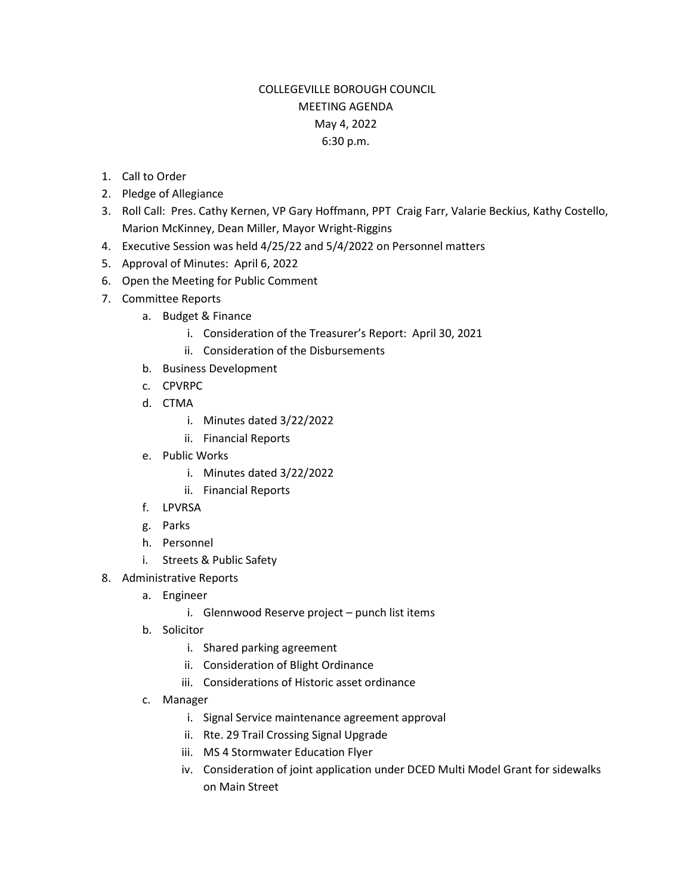## COLLEGEVILLE BOROUGH COUNCIL MEETING AGENDA May 4, 2022 6:30 p.m.

- 1. Call to Order
- 2. Pledge of Allegiance
- 3. Roll Call: Pres. Cathy Kernen, VP Gary Hoffmann, PPT Craig Farr, Valarie Beckius, Kathy Costello, Marion McKinney, Dean Miller, Mayor Wright-Riggins
- 4. Executive Session was held 4/25/22 and 5/4/2022 on Personnel matters
- 5. Approval of Minutes: April 6, 2022
- 6. Open the Meeting for Public Comment
- 7. Committee Reports
	- a. Budget & Finance
		- i. Consideration of the Treasurer's Report: April 30, 2021
		- ii. Consideration of the Disbursements
	- b. Business Development
	- c. CPVRPC
	- d. CTMA
		- i. Minutes dated 3/22/2022
		- ii. Financial Reports
	- e. Public Works
		- i. Minutes dated 3/22/2022
		- ii. Financial Reports
	- f. LPVRSA
	- g. Parks
	- h. Personnel
	- i. Streets & Public Safety
- 8. Administrative Reports
	- a. Engineer
		- i. Glennwood Reserve project punch list items
	- b. Solicitor
		- i. Shared parking agreement
		- ii. Consideration of Blight Ordinance
		- iii. Considerations of Historic asset ordinance
	- c. Manager
		- i. Signal Service maintenance agreement approval
		- ii. Rte. 29 Trail Crossing Signal Upgrade
		- iii. MS 4 Stormwater Education Flyer
		- iv. Consideration of joint application under DCED Multi Model Grant for sidewalks on Main Street